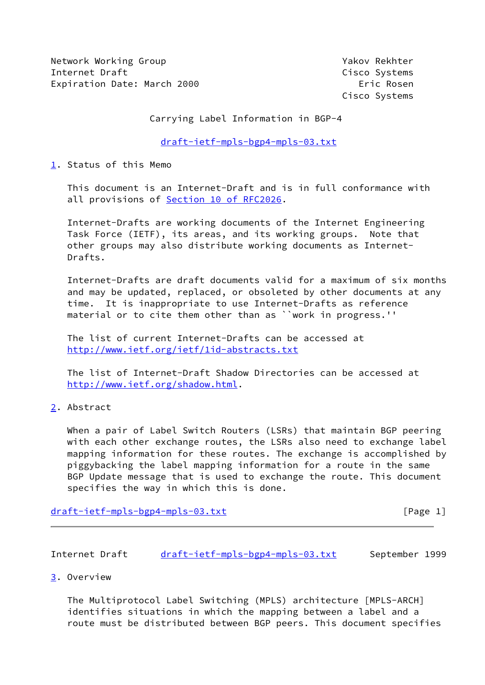Network Working Group **Yakov Rekhter** Yakov Rekhter Internet Draft Cisco Systems Expiration Date: March 2000 **Expiration** Eric Rosen

Cisco Systems

Carrying Label Information in BGP-4

[draft-ietf-mpls-bgp4-mpls-03.txt](https://datatracker.ietf.org/doc/pdf/draft-ietf-mpls-bgp4-mpls-03.txt)

<span id="page-0-0"></span>[1](#page-0-0). Status of this Memo

 This document is an Internet-Draft and is in full conformance with all provisions of Section [10 of RFC2026.](https://datatracker.ietf.org/doc/pdf/rfc2026#section-10)

 Internet-Drafts are working documents of the Internet Engineering Task Force (IETF), its areas, and its working groups. Note that other groups may also distribute working documents as Internet- Drafts.

 Internet-Drafts are draft documents valid for a maximum of six months and may be updated, replaced, or obsoleted by other documents at any time. It is inappropriate to use Internet-Drafts as reference material or to cite them other than as ``work in progress.''

 The list of current Internet-Drafts can be accessed at <http://www.ietf.org/ietf/1id-abstracts.txt>

 The list of Internet-Draft Shadow Directories can be accessed at <http://www.ietf.org/shadow.html>.

<span id="page-0-1"></span>[2](#page-0-1). Abstract

When a pair of Label Switch Routers (LSRs) that maintain BGP peering with each other exchange routes, the LSRs also need to exchange label mapping information for these routes. The exchange is accomplished by piggybacking the label mapping information for a route in the same BGP Update message that is used to exchange the route. This document specifies the way in which this is done.

[draft-ietf-mpls-bgp4-mpls-03.txt](https://datatracker.ietf.org/doc/pdf/draft-ietf-mpls-bgp4-mpls-03.txt) [Page 1]

Internet Draft [draft-ietf-mpls-bgp4-mpls-03.txt](https://datatracker.ietf.org/doc/pdf/draft-ietf-mpls-bgp4-mpls-03.txt) September 1999

<span id="page-0-2"></span>[3](#page-0-2). Overview

 The Multiprotocol Label Switching (MPLS) architecture [MPLS-ARCH] identifies situations in which the mapping between a label and a route must be distributed between BGP peers. This document specifies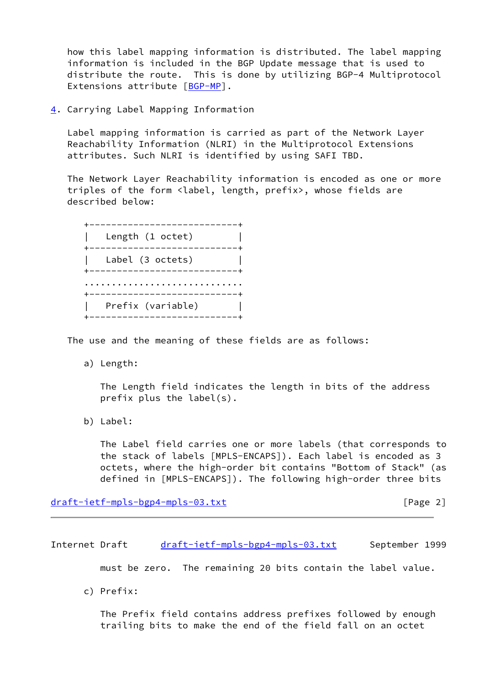how this label mapping information is distributed. The label mapping information is included in the BGP Update message that is used to distribute the route. This is done by utilizing BGP-4 Multiprotocol Extensions attribute [\[BGP-MP](#page-3-0)].

<span id="page-1-0"></span>[4](#page-1-0). Carrying Label Mapping Information

 Label mapping information is carried as part of the Network Layer Reachability Information (NLRI) in the Multiprotocol Extensions attributes. Such NLRI is identified by using SAFI TBD.

 The Network Layer Reachability information is encoded as one or more triples of the form <label, length, prefix>, whose fields are described below:



The use and the meaning of these fields are as follows:

a) Length:

 The Length field indicates the length in bits of the address prefix plus the label(s).

b) Label:

 The Label field carries one or more labels (that corresponds to the stack of labels [MPLS-ENCAPS]). Each label is encoded as 3 octets, where the high-order bit contains "Bottom of Stack" (as defined in [MPLS-ENCAPS]). The following high-order three bits

[draft-ietf-mpls-bgp4-mpls-03.txt](https://datatracker.ietf.org/doc/pdf/draft-ietf-mpls-bgp4-mpls-03.txt) [Page 2]

Internet Draft [draft-ietf-mpls-bgp4-mpls-03.txt](https://datatracker.ietf.org/doc/pdf/draft-ietf-mpls-bgp4-mpls-03.txt) September 1999

must be zero. The remaining 20 bits contain the label value.

c) Prefix:

 The Prefix field contains address prefixes followed by enough trailing bits to make the end of the field fall on an octet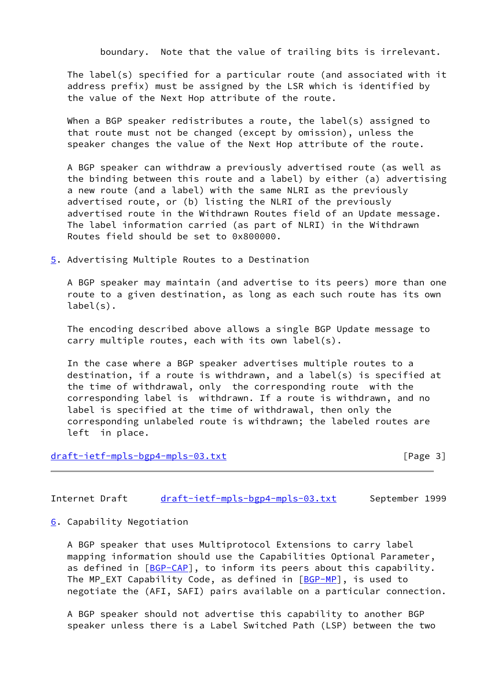boundary. Note that the value of trailing bits is irrelevant.

 The label(s) specified for a particular route (and associated with it address prefix) must be assigned by the LSR which is identified by the value of the Next Hop attribute of the route.

 When a BGP speaker redistributes a route, the label(s) assigned to that route must not be changed (except by omission), unless the speaker changes the value of the Next Hop attribute of the route.

 A BGP speaker can withdraw a previously advertised route (as well as the binding between this route and a label) by either (a) advertising a new route (and a label) with the same NLRI as the previously advertised route, or (b) listing the NLRI of the previously advertised route in the Withdrawn Routes field of an Update message. The label information carried (as part of NLRI) in the Withdrawn Routes field should be set to 0x800000.

<span id="page-2-0"></span>[5](#page-2-0). Advertising Multiple Routes to a Destination

 A BGP speaker may maintain (and advertise to its peers) more than one route to a given destination, as long as each such route has its own label(s).

 The encoding described above allows a single BGP Update message to carry multiple routes, each with its own label(s).

 In the case where a BGP speaker advertises multiple routes to a destination, if a route is withdrawn, and a label(s) is specified at the time of withdrawal, only the corresponding route with the corresponding label is withdrawn. If a route is withdrawn, and no label is specified at the time of withdrawal, then only the corresponding unlabeled route is withdrawn; the labeled routes are left in place.

## [draft-ietf-mpls-bgp4-mpls-03.txt](https://datatracker.ietf.org/doc/pdf/draft-ietf-mpls-bgp4-mpls-03.txt) [Page 3]

Internet Draft [draft-ietf-mpls-bgp4-mpls-03.txt](https://datatracker.ietf.org/doc/pdf/draft-ietf-mpls-bgp4-mpls-03.txt) September 1999

<span id="page-2-1"></span>[6](#page-2-1). Capability Negotiation

 A BGP speaker that uses Multiprotocol Extensions to carry label mapping information should use the Capabilities Optional Parameter, as defined in [[BGP-CAP](#page-3-1)], to inform its peers about this capability. The MP\_EXT Capability Code, as defined in [[BGP-MP](#page-3-0)], is used to negotiate the (AFI, SAFI) pairs available on a particular connection.

 A BGP speaker should not advertise this capability to another BGP speaker unless there is a Label Switched Path (LSP) between the two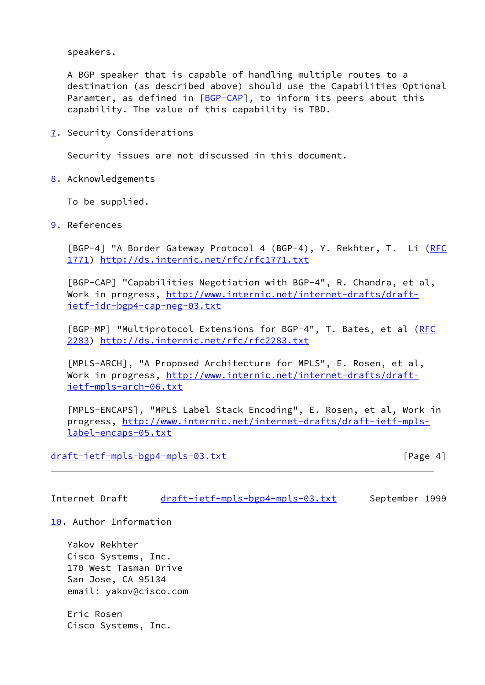speakers.

 A BGP speaker that is capable of handling multiple routes to a destination (as described above) should use the Capabilities Optional Paramter, as defined in  $[BGP-CAP]$  $[BGP-CAP]$ , to inform its peers about this capability. The value of this capability is TBD.

<span id="page-3-2"></span>[7](#page-3-2). Security Considerations

Security issues are not discussed in this document.

<span id="page-3-3"></span>[8](#page-3-3). Acknowledgements

To be supplied.

<span id="page-3-4"></span>[9](#page-3-4). References

 [BGP-4] "A Border Gateway Protocol 4 (BGP-4), Y. Rekhter, T. Li [\(RFC](https://datatracker.ietf.org/doc/pdf/rfc1771) [1771](https://datatracker.ietf.org/doc/pdf/rfc1771))<http://ds.internic.net/rfc/rfc1771.txt>

<span id="page-3-1"></span> [BGP-CAP] "Capabilities Negotiation with BGP-4", R. Chandra, et al, Work in progress, [http://www.internic.net/internet-drafts/draft](http://www.internic.net/internet-drafts/draft-ietf-idr-bgp4-cap-neg-03.txt) [ietf-idr-bgp4-cap-neg-03.txt](http://www.internic.net/internet-drafts/draft-ietf-idr-bgp4-cap-neg-03.txt)

<span id="page-3-0"></span>[BGP-MP] "Multiprotocol Extensions for BGP-4", T. Bates, et al [\(RFC](https://datatracker.ietf.org/doc/pdf/rfc2283) [2283](https://datatracker.ietf.org/doc/pdf/rfc2283))<http://ds.internic.net/rfc/rfc2283.txt>

 [MPLS-ARCH], "A Proposed Architecture for MPLS", E. Rosen, et al, Work in progress, [http://www.internic.net/internet-drafts/draft](http://www.internic.net/internet-drafts/draft-ietf-mpls-arch-06.txt) [ietf-mpls-arch-06.txt](http://www.internic.net/internet-drafts/draft-ietf-mpls-arch-06.txt)

 [MPLS-ENCAPS], "MPLS Label Stack Encoding", E. Rosen, et al, Work in progress, [http://www.internic.net/internet-drafts/draft-ietf-mpls](http://www.internic.net/internet-drafts/draft-ietf-mpls-label-encaps-05.txt) [label-encaps-05.txt](http://www.internic.net/internet-drafts/draft-ietf-mpls-label-encaps-05.txt)

[draft-ietf-mpls-bgp4-mpls-03.txt](https://datatracker.ietf.org/doc/pdf/draft-ietf-mpls-bgp4-mpls-03.txt) [Page 4]

Internet Draft [draft-ietf-mpls-bgp4-mpls-03.txt](https://datatracker.ietf.org/doc/pdf/draft-ietf-mpls-bgp4-mpls-03.txt) September 1999

<span id="page-3-5"></span>[10.](#page-3-5) Author Information

 Yakov Rekhter Cisco Systems, Inc. 170 West Tasman Drive San Jose, CA 95134 email: yakov@cisco.com

 Eric Rosen Cisco Systems, Inc.